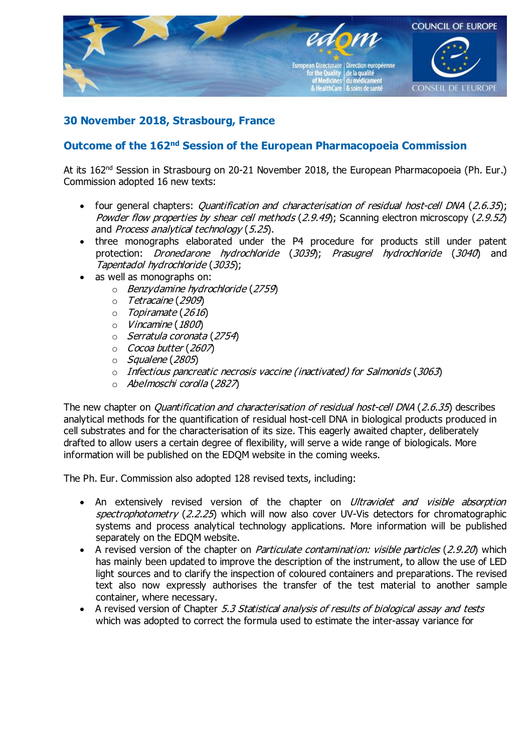

## 30 November 2018, Strasbourg, France

## Outcome of the 162<sup>nd</sup> Session of the European Pharmacopoeia Commission

At its 162<sup>nd</sup> Session in Strasbourg on 20-21 November 2018, the European Pharmacopoeia (Ph. Eur.) Commission adopted 16 new texts:

- four general chapters: *Quantification and characterisation of residual host-cell DNA* (2.6.35); Powder flow properties by shear cell methods (2.9.49); Scanning electron microscopy (2.9.52) and Process analytical technology (5.25).
- · three monographs elaborated under the P4 procedure for products still under patent protection: Dronedarone hydrochloride (3039); Prasugrel hydrochloride (3040) and Tapentadol hydrochloride (3035);
- · as well as monographs on:
	- $\circ$  Benzydamine hydrochloride (2759)
	- o Tetracaine (2909)
	- $\circ$  Topiramate (2616)
	- o Vincamine(1800)
	- $\circ$  Serratula coronata (2754)
	- $\circ$  Cocoa butter (2607)
	- $\circ$  Squalene (2805)
	- $\circ$  Infectious pancreatic necrosis vaccine (inactivated) for Salmonids (3063)
	- o Abelmoschi corolla (2827)

The new chapter on *Quantification and characterisation of residual host-cell DNA* (2.6.35) describes analytical methods for the quantification of residual host-cell DNA in biological products produced in cell substrates and for the characterisation of its size. This eagerly awaited chapter, deliberately drafted to allow users a certain degree of flexibility, will serve a wide range of biologicals. More information will be published on the EDQM website in the coming weeks.

The Ph. Eur. Commission also adopted 128 revised texts, including:

- An extensively revised version of the chapter on *Ultraviolet and visible absorption* spectrophotometry (2.2.25) which will now also cover UV-Vis detectors for chromatographic systems and process analytical technology applications. More information will be published separately on the EDQM website.
- A revised version of the chapter on *Particulate contamination: visible particles* (2.9.20) which has mainly been updated to improve the description of the instrument, to allow the use of LED light sources and to clarify the inspection of coloured containers and preparations. The revised text also now expressly authorises the transfer of the test material to another sample container, where necessary.
- A revised version of Chapter 5.3 Statistical analysis of results of biological assay and tests which was adopted to correct the formula used to estimate the inter-assay variance for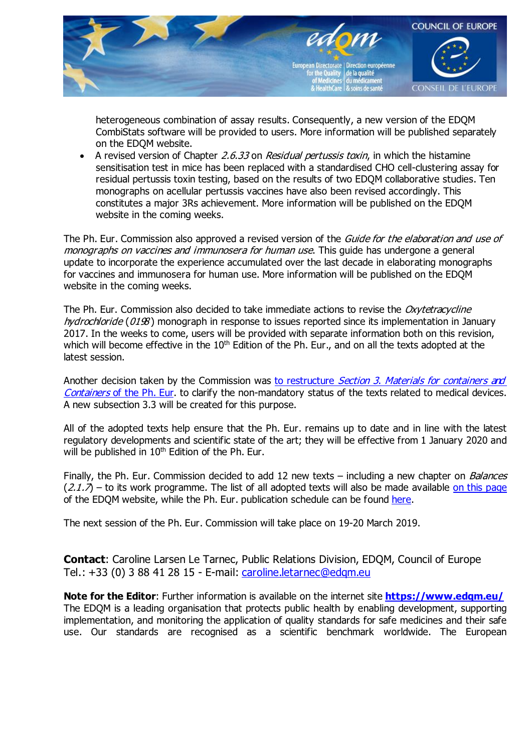

heterogeneous combination of assay results. Consequently, a new version of the EDQM CombiStats software will be provided to users. More information will be published separately on the EDQM website.

A revised version of Chapter 2.6.33 on Residual pertussis toxin, in which the histamine sensitisation test in mice has been replaced with a standardised CHO cell-clustering assay for residual pertussis toxin testing, based on the results of two EDQM collaborative studies. Ten monographs on acellular pertussis vaccines have also been revised accordingly. This constitutes a major 3Rs achievement. More information will be published on the EDQM website in the coming weeks.

The Ph. Eur. Commission also approved a revised version of the Guide for the elaboration and use of monographs on vaccines and immunosera for human use. This quide has undergone a general update to incorporate the experience accumulated over the last decade in elaborating monographs for vaccines and immunosera for human use. More information will be published on the EDQM website in the coming weeks.

The Ph. Eur. Commission also decided to take immediate actions to revise the Oxytetracycline hydrochloride ( $0198$ ) monograph in response to issues reported since its implementation in January 2017. In the weeks to come, users will be provided with separate information both on this revision, which will become effective in the 10<sup>th</sup> Edition of the Ph. Eur., and on all the texts adopted at the latest session.

Another decision taken by the Commission was to restructure *Section 3. Materials for [containers and](https://www.edqm.eu/en/news/ph-eur-section-3-materials-and-containers-clarification-legal-status)* [Containers](https://www.edqm.eu/en/news/ph-eur-section-3-materials-and-containers-clarification-legal-status) of the Ph. Eur. to clarify the non-mandatory status of the texts related to medical devices. A new subsection 3.3 will be created for this purpose.

All of the adopted texts help ensure that the Ph. Eur. remains up to date and in line with the latest regulatory developments and scientific state of the art; they will be effective from 1 January 2020 and will be published in 10<sup>th</sup> Edition of the Ph. Eur.

Finally, the Ph. Eur. Commission decided to add 12 new texts – including a new chapter on *Balances*  $(2.1.7)$  – to its work programme. The list of all adopted texts will also be made available on this [page](https://www.edqm.eu/en/european-pharmacopoeia-work-programme-607.html) of the EDQM website, while the Ph. Eur. publication schedule can be found [here.](https://www.edqm.eu/sites/default/files/publication_calendar_for_the_9th_edition_pheur_july_2016.pdf)

The next session of the Ph. Eur. Commission will take place on 19-20 March 2019.

Contact: Caroline Larsen Le Tarnec, Public Relations Division, EDQM, Council of Europe Tel.: +33 (0) 3 88 41 28 15 - E-mail: [caroline.letarnec@edqm.eu](mailto:caroline.letarnec@edqm.eu)

Note for the Editor: Further information is available on the internet site https://www.edgm.eu/ The EDQM is a leading organisation that protects public health by enabling development, supporting implementation, and monitoring the application of quality standards for safe medicines and their safe use. Our standards are recognised as a scientific benchmark worldwide. The European